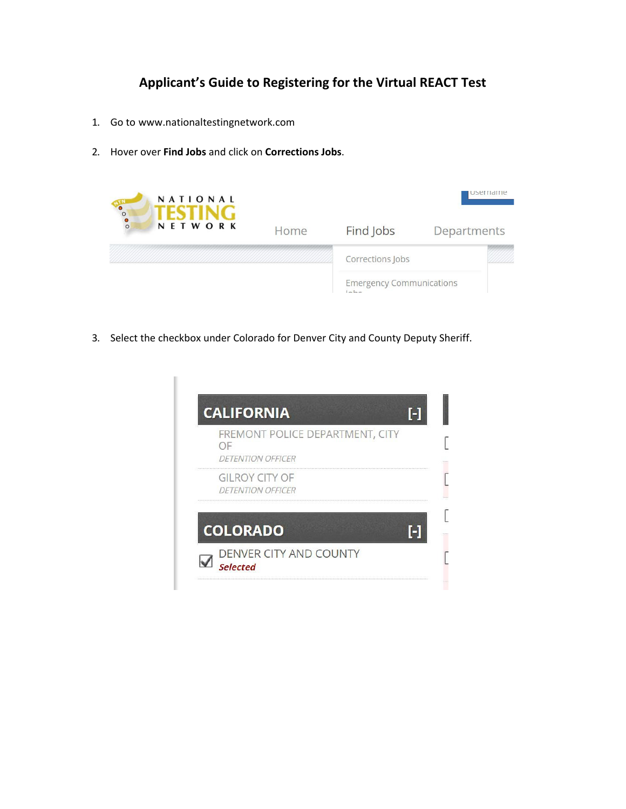## **Applicant's Guide to Registering for the Virtual REACT Test**

- 1. Go to [www.nationaltestingnetwork.com](http://www.nationaltestingnetwork.com/)
- 2. Hover over **Find Jobs** and click on **Corrections Jobs**.



3. Select the checkbox under Colorado for Denver City and County Deputy Sheriff.

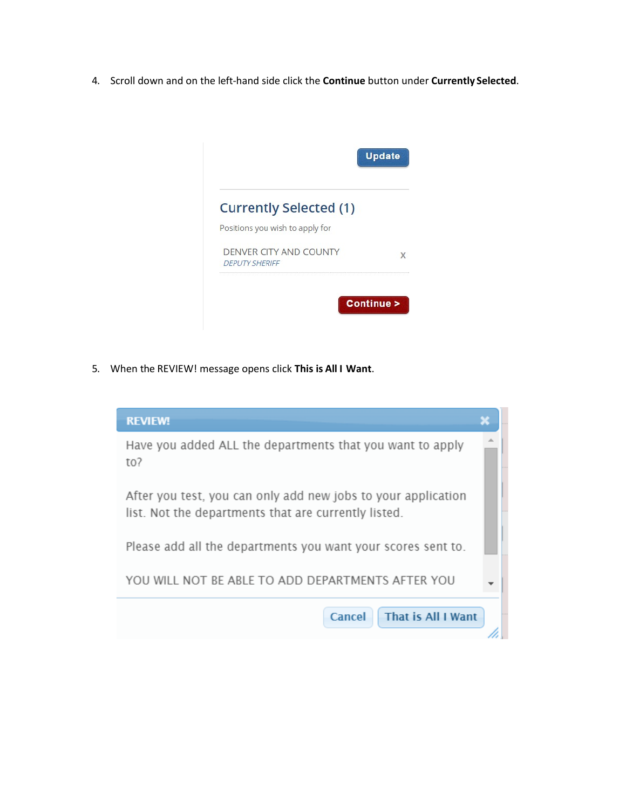4. Scroll down and on the left-hand side click the **Continue** button under **Currently Selected**.



5. When the REVIEW! message opens click **This is All I Want**.

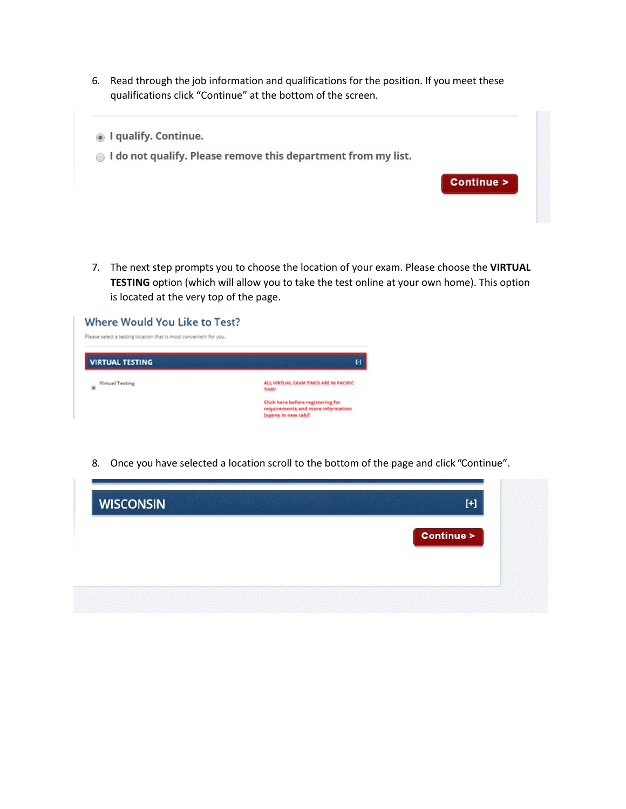6. Read through the job information and qualifications for the position. If you meet these qualifications click "Continue" at the bottom of the screen.



7. The next step prompts you to choose the location of your exam. Please choose the **VIRTUAL TESTING** option (which will allow you to take the test online at your own home). This option is located at the very top of the page.

| Where Would You Like to Test?<br>Please select a testing location that is most convenient for you. |                                                                                                      |
|----------------------------------------------------------------------------------------------------|------------------------------------------------------------------------------------------------------|
| <b>VIRTUAL TESTING</b>                                                                             | 0                                                                                                    |
| <b>Virtual Testing</b><br>۰                                                                        | ALL VIRTUAL EXAM TIMES ARE IN PACIFIC<br><b>TIME!</b>                                                |
|                                                                                                    | <b>Click here before registering for</b><br>requirements and more information<br>(opens in new tab)! |

8. Once you have selected a location scroll to the bottom of the page and click "Continue".

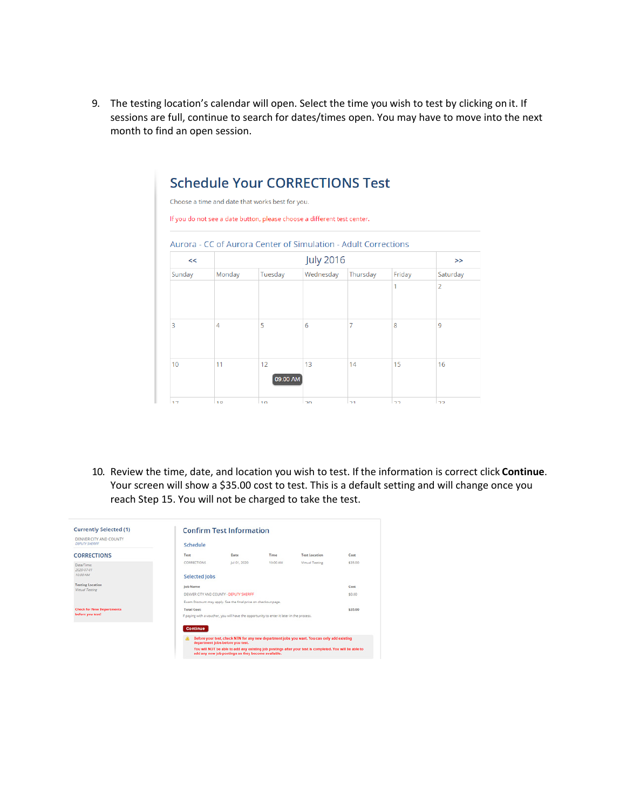9. The testing location's calendar will open. Select the time you wish to test by clicking on it. If sessions are full, continue to search for dates/times open. You may have to move into the next month to find an open session.

|        |        | <b>Schedule Your CORRECTIONS Test</b><br>Choose a time and date that works best for you.<br>If you do not see a date button, please choose a different test center. |                  |          |        |                |
|--------|--------|---------------------------------------------------------------------------------------------------------------------------------------------------------------------|------------------|----------|--------|----------------|
|        |        | Aurora - CC of Aurora Center of Simulation - Adult Corrections                                                                                                      |                  |          |        |                |
| <<     |        |                                                                                                                                                                     | <b>July 2016</b> |          |        | >              |
| Sunday | Monday | Tuesday                                                                                                                                                             | Wednesday        | Thursday | Friday | Saturday       |
|        |        |                                                                                                                                                                     |                  |          | 1      | $\overline{2}$ |
| 3      | 4      | 5                                                                                                                                                                   | 6                | 7        | 8      | 9              |
| 10     | 11     | 12<br>09:00 AM                                                                                                                                                      | 13               | 14       | 15     | 16             |
| 17     | 10     | 10                                                                                                                                                                  | 20               | 21       | 22     | כר             |

10. Review the time, date, and location you wish to test. If the information is correct click **Continue**. Your screen will show a \$35.00 cost to test. This is a default setting and will change once you reach Step 15. You will not be charged to take the test.

| <b>Currently Selected (1)</b>                     |                      | <b>Confirm Test Information</b>                                                           |          |                                                                                                         |         |
|---------------------------------------------------|----------------------|-------------------------------------------------------------------------------------------|----------|---------------------------------------------------------------------------------------------------------|---------|
| DENVER CITY AND COUNTY<br><b>DEPUTY SHERIFF</b>   | Schedule             |                                                                                           |          |                                                                                                         |         |
| <b>CORRECTIONS</b>                                | Test                 | Date                                                                                      | Time     | <b>Test Location</b>                                                                                    | Cost    |
| Date/Time:<br>2020-07-01                          | <b>CORRECTIONS</b>   | Jul 01, 2020                                                                              | 10:00 AM | Virtual Testing                                                                                         | \$35.00 |
| 10:00 AM                                          | <b>Selected Jobs</b> |                                                                                           |          |                                                                                                         |         |
| <b>Testing Location</b><br><b>Virtual Testing</b> | <b>Job Name</b>      |                                                                                           |          |                                                                                                         | Cost    |
|                                                   |                      | DENVER CITY AND COUNTY - DEPUTY SHERIFF                                                   |          |                                                                                                         | \$0.00  |
|                                                   |                      | Exam Discount may apply. See the final price on checkout page.                            |          |                                                                                                         |         |
| <b>Check for New Departments</b>                  | <b>Total Cost:</b>   |                                                                                           |          |                                                                                                         | \$35.00 |
| before you test!                                  |                      | If paying with a voucher, you will have the opportunity to enter it later in the process. |          |                                                                                                         |         |
|                                                   | <b>Continue</b>      |                                                                                           |          |                                                                                                         |         |
|                                                   |                      |                                                                                           |          |                                                                                                         |         |
|                                                   |                      | department jobs before you test.                                                          |          | Before your test, check NTN for any new department jobs you want. You can only add existing             |         |
|                                                   |                      | add any new job postings as they become available.                                        |          | You will NOT be able to add any existing job postings after your test is completed. You will be able to |         |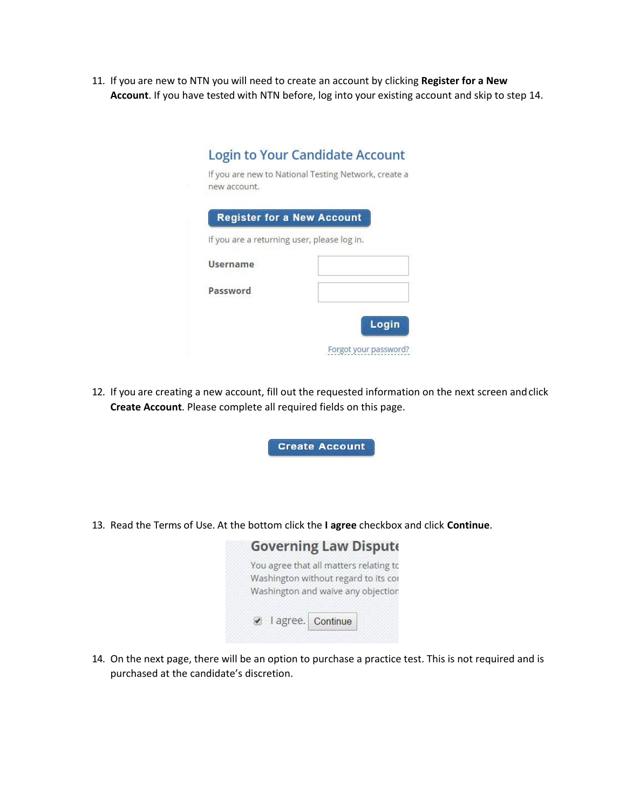11. If you are new to NTN you will need to create an account by clicking **Register for a New Account**. If you have tested with NTN before, log into your existing account and skip to step 14.

|                 | <b>Register for a New Account</b>           |
|-----------------|---------------------------------------------|
|                 | If you are a returning user, please log in. |
| <b>Username</b> |                                             |
| Password        |                                             |

12. If you are creating a new account, fill out the requested information on the next screen andclick **Create Account**. Please complete all required fields on this page.





14. On the next page, there will be an option to purchase a practice test. This is not required and is purchased at the candidate's discretion.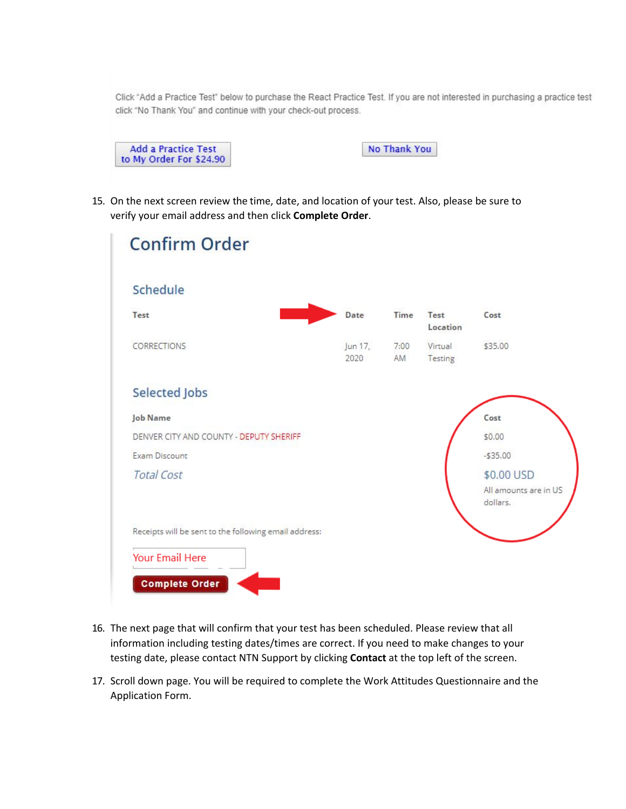Click "Add a Practice Test" below to purchase the React Practice Test. If you are not interested in purchasing a practice test click "No Thank You" and continue with your check-out process.

No Thank You

15. On the next screen review the time, date, and location of your test. Also, please be sure to verify your email address and then click **Complete Order**.

| <b>Confirm Order</b>                                  |                 |            |                    |                                                 |
|-------------------------------------------------------|-----------------|------------|--------------------|-------------------------------------------------|
| Schedule                                              |                 |            |                    |                                                 |
| Test                                                  | Date            | Time       | Test<br>Location   | Cost                                            |
| <b>CORRECTIONS</b>                                    | Jun 17,<br>2020 | 7:00<br>AM | Virtual<br>Testing | \$35.00                                         |
| <b>Selected Jobs</b>                                  |                 |            |                    |                                                 |
| <b>Job Name</b>                                       |                 |            |                    | Cost                                            |
| DENVER CITY AND COUNTY - DEPUTY SHERIFF               |                 |            |                    | \$0.00                                          |
| Exam Discount                                         |                 |            |                    | $-$35.00$                                       |
| <b>Total Cost</b>                                     |                 |            |                    | \$0.00 USD<br>All amounts are in US<br>dollars. |
| Receipts will be sent to the following email address: |                 |            |                    |                                                 |
| <b>Your Email Here</b>                                |                 |            |                    |                                                 |
| <b>Complete Order</b>                                 |                 |            |                    |                                                 |

- 16. The next page that will confirm that your test has been scheduled. Please review that all information including testing dates/times are correct. If you need to make changes to your testing date, please contact NTN Support by clicking **Contact** at the top left of the screen.
- 17. Scroll down page. You will be required to complete the Work Attitudes Questionnaire and the Application Form.